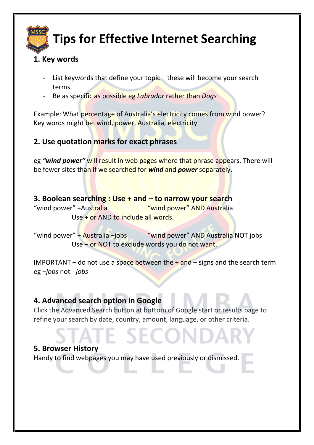

# **Tips for Effective Internet Searching**

### **1. Key words**

- List keywords that define your topic  $-$  these will become your search terms.
- Be as specific as possible eg *Labrador* rather than *Dogs*

Example: What percentage of Australia's electricity comes from wind power? Key words might be: wind, power, Australia, electricity

## **2. Use quotation marks for exact phrases**

eg *"wind power"* will result in web pages where that phrase appears. There will be fewer sites than if we searched for *wind* and *power* separately.

### **3. Boolean searching : Use + and – to narrow your search**

"wind power" +Australia "wind power" AND Australia Use + or AND to include all words.

"wind power" + Australia –jobs "wind power" AND Australia NOT jobs Use – or NOT to exclude words you do not want.

IMPORTANT – do not use a space between the  $+$  and – signs and the search term eg *–jobs* not *- jobs*

# **4. Advanced search option in Google**

Click the Advanced Search button at bottom of Google start or results page to refine your search by date, country, amount, language, or other criteria.

#### **5. Browser History**

Handy to find webpages you may have used previously or dismissed.